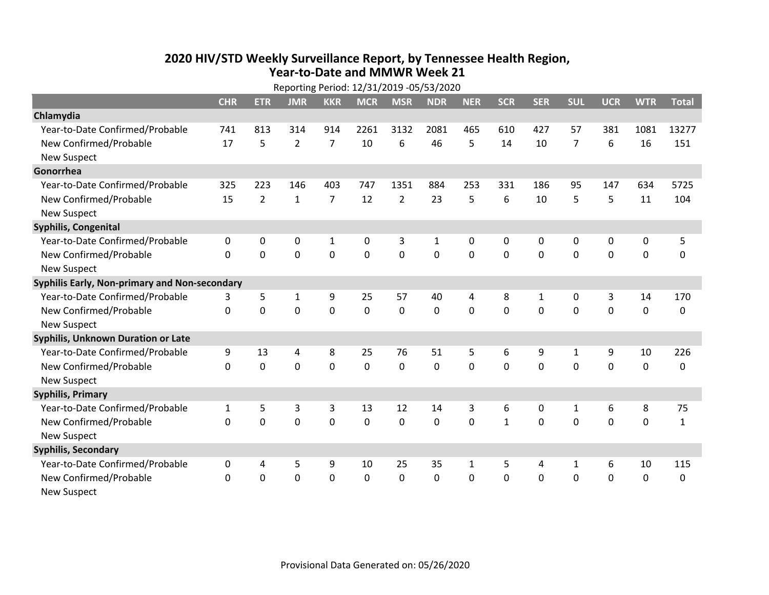## **2020 HIV /STD Weekly Surveillance Report, by Tennessee Health Region, Year‐to‐Date and MMWR Week 21**  $R_{\text{R}}$

|                                               | Reporting Period: 12/31/2019 -05/53/2020 |                |                |                |             |                |             |              |              |             |                |             |             |              |
|-----------------------------------------------|------------------------------------------|----------------|----------------|----------------|-------------|----------------|-------------|--------------|--------------|-------------|----------------|-------------|-------------|--------------|
|                                               | <b>CHR</b>                               | <b>ETR</b>     | <b>JMR</b>     | <b>KKR</b>     | <b>MCR</b>  | <b>MSR</b>     | <b>NDR</b>  | <b>NER</b>   | <b>SCR</b>   | <b>SER</b>  | <b>SUL</b>     | <b>UCR</b>  | <b>WTR</b>  | <b>Total</b> |
| Chlamydia                                     |                                          |                |                |                |             |                |             |              |              |             |                |             |             |              |
| Year-to-Date Confirmed/Probable               | 741                                      | 813            | 314            | 914            | 2261        | 3132           | 2081        | 465          | 610          | 427         | 57             | 381         | 1081        | 13277        |
| New Confirmed/Probable                        | 17                                       | 5              | $\overline{2}$ | $\overline{7}$ | 10          | 6              | 46          | 5            | 14           | 10          | $\overline{7}$ | 6           | 16          | 151          |
| <b>New Suspect</b>                            |                                          |                |                |                |             |                |             |              |              |             |                |             |             |              |
| Gonorrhea                                     |                                          |                |                |                |             |                |             |              |              |             |                |             |             |              |
| Year-to-Date Confirmed/Probable               | 325                                      | 223            | 146            | 403            | 747         | 1351           | 884         | 253          | 331          | 186         | 95             | 147         | 634         | 5725         |
| New Confirmed/Probable                        | 15                                       | $\overline{2}$ | $\mathbf{1}$   | $\overline{7}$ | 12          | $\overline{2}$ | 23          | 5            | 6            | 10          | 5              | 5           | 11          | 104          |
| <b>New Suspect</b>                            |                                          |                |                |                |             |                |             |              |              |             |                |             |             |              |
| <b>Syphilis, Congenital</b>                   |                                          |                |                |                |             |                |             |              |              |             |                |             |             |              |
| Year-to-Date Confirmed/Probable               | $\mathbf{0}$                             | $\mathbf{0}$   | 0              | $\mathbf{1}$   | 0           | 3              | 1           | 0            | $\mathbf{0}$ | $\Omega$    | 0              | 0           | $\mathbf 0$ | 5            |
| New Confirmed/Probable                        | $\Omega$                                 | 0              | $\Omega$       | $\mathbf 0$    | $\mathbf 0$ | $\mathbf 0$    | $\mathbf 0$ | $\Omega$     | $\Omega$     | $\mathbf 0$ | $\mathbf 0$    | $\mathbf 0$ | $\mathbf 0$ | 0            |
| <b>New Suspect</b>                            |                                          |                |                |                |             |                |             |              |              |             |                |             |             |              |
| Syphilis Early, Non-primary and Non-secondary |                                          |                |                |                |             |                |             |              |              |             |                |             |             |              |
| Year-to-Date Confirmed/Probable               | 3                                        | 5              | 1              | 9              | 25          | 57             | 40          | 4            | 8            | 1           | 0              | 3           | 14          | 170          |
| New Confirmed/Probable                        | $\mathbf{0}$                             | $\mathbf 0$    | $\mathbf 0$    | $\mathbf 0$    | 0           | $\mathbf 0$    | 0           | 0            | 0            | 0           | $\mathbf 0$    | $\mathbf 0$ | $\mathbf 0$ | 0            |
| <b>New Suspect</b>                            |                                          |                |                |                |             |                |             |              |              |             |                |             |             |              |
| Syphilis, Unknown Duration or Late            |                                          |                |                |                |             |                |             |              |              |             |                |             |             |              |
| Year-to-Date Confirmed/Probable               | 9                                        | 13             | 4              | 8              | 25          | 76             | 51          | 5            | 6            | 9           | 1              | 9           | 10          | 226          |
| New Confirmed/Probable                        | $\mathbf{0}$                             | 0              | $\mathbf 0$    | $\mathbf 0$    | $\mathbf 0$ | $\mathbf 0$    | 0           | 0            | 0            | 0           | $\mathbf 0$    | $\mathbf 0$ | $\mathbf 0$ | 0            |
| <b>New Suspect</b>                            |                                          |                |                |                |             |                |             |              |              |             |                |             |             |              |
| <b>Syphilis, Primary</b>                      |                                          |                |                |                |             |                |             |              |              |             |                |             |             |              |
| Year-to-Date Confirmed/Probable               | $\mathbf{1}$                             | 5              | 3              | 3              | 13          | 12             | 14          | 3            | 6            | 0           | 1              | 6           | 8           | 75           |
| New Confirmed/Probable                        | $\mathbf 0$                              | 0              | $\mathbf 0$    | $\mathbf 0$    | 0           | 0              | 0           | $\mathbf 0$  | $\mathbf{1}$ | 0           | $\mathbf 0$    | $\mathbf 0$ | $\mathbf 0$ | $\mathbf{1}$ |
| <b>New Suspect</b>                            |                                          |                |                |                |             |                |             |              |              |             |                |             |             |              |
| <b>Syphilis, Secondary</b>                    |                                          |                |                |                |             |                |             |              |              |             |                |             |             |              |
| Year-to-Date Confirmed/Probable               | $\mathbf{0}$                             | 4              | 5              | 9              | 10          | 25             | 35          | $\mathbf{1}$ | 5            | 4           | $\mathbf{1}$   | 6           | 10          | 115          |
| New Confirmed/Probable                        | $\mathbf{0}$                             | 0              | 0              | $\mathbf 0$    | 0           | 0              | 0           | 0            | 0            | $\mathbf 0$ | $\mathbf 0$    | $\mathbf 0$ | $\mathbf 0$ | 0            |
| <b>New Suspect</b>                            |                                          |                |                |                |             |                |             |              |              |             |                |             |             |              |